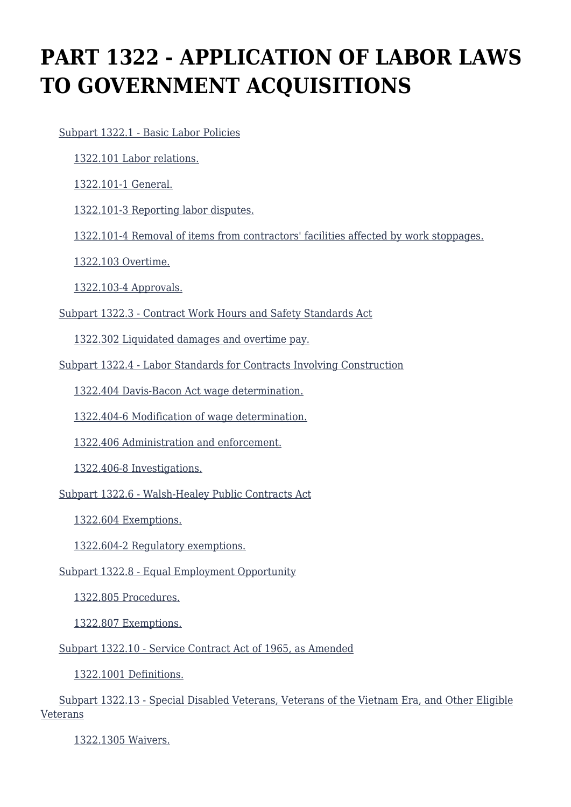# **PART 1322 - APPLICATION OF LABOR LAWS TO GOVERNMENT ACQUISITIONS**

[Subpart 1322.1 - Basic Labor Policies](https://login.acquisition.gov/%5Brp:link:car-part-1322%5D#Subpart_1322_1_T48_50646201)

[1322.101 Labor relations.](https://login.acquisition.gov/%5Brp:link:car-part-1322%5D#Section_1322_101_T48_5064620111)

[1322.101-1 General.](https://login.acquisition.gov/%5Brp:link:car-part-1322%5D#Section_1322_101_1_T48_5064620112)

[1322.101-3 Reporting labor disputes.](https://login.acquisition.gov/%5Brp:link:car-part-1322%5D#Section_1322_101_3_T48_5064620113)

[1322.101-4 Removal of items from contractors' facilities affected by work stoppages.](https://login.acquisition.gov/%5Brp:link:car-part-1322%5D#Section_1322_101_4_T48_5064620114)

[1322.103 Overtime.](https://login.acquisition.gov/%5Brp:link:car-part-1322%5D#Section_1322_103_T48_5064620115)

[1322.103-4 Approvals.](https://login.acquisition.gov/%5Brp:link:car-part-1322%5D#Section_1322_103_4_T48_5064620116)

[Subpart 1322.3 - Contract Work Hours and Safety Standards Act](https://login.acquisition.gov/%5Brp:link:car-part-1322%5D#Subpart_1322_3_T48_50646202)

[1322.302 Liquidated damages and overtime pay.](https://login.acquisition.gov/%5Brp:link:car-part-1322%5D#Section_1322_302_T48_5064620211)

[Subpart 1322.4 - Labor Standards for Contracts Involving Construction](https://login.acquisition.gov/%5Brp:link:car-part-1322%5D#Subpart_1322_4_T48_50646203)

[1322.404 Davis-Bacon Act wage determination.](https://login.acquisition.gov/%5Brp:link:car-part-1322%5D#Section_1322_404_T48_5064620311)

[1322.404-6 Modification of wage determination.](https://login.acquisition.gov/%5Brp:link:car-part-1322%5D#Section_1322_404_6_T48_5064620312)

[1322.406 Administration and enforcement.](https://login.acquisition.gov/%5Brp:link:car-part-1322%5D#Section_1322_406_T48_5064620313)

[1322.406-8 Investigations.](https://login.acquisition.gov/%5Brp:link:car-part-1322%5D#Section_1322_406_8_T48_5064620314)

[Subpart 1322.6 - Walsh-Healey Public Contracts Act](https://login.acquisition.gov/%5Brp:link:car-part-1322%5D#Subpart_1322_6_T48_50646204)

[1322.604 Exemptions.](https://login.acquisition.gov/%5Brp:link:car-part-1322%5D#Section_1322_604_T48_5064620411)

[1322.604-2 Regulatory exemptions.](https://login.acquisition.gov/%5Brp:link:car-part-1322%5D#Section_1322_604_2_T48_5064620412)

[Subpart 1322.8 - Equal Employment Opportunity](https://login.acquisition.gov/%5Brp:link:car-part-1322%5D#Subpart_1322_8_T48_50646205)

[1322.805 Procedures.](https://login.acquisition.gov/%5Brp:link:car-part-1322%5D#Section_1322_805_T48_5064620511)

[1322.807 Exemptions.](https://login.acquisition.gov/%5Brp:link:car-part-1322%5D#Section_1322_807_T48_5064620512)

[Subpart 1322.10 - Service Contract Act of 1965, as Amended](https://login.acquisition.gov/%5Brp:link:car-part-1322%5D#Subpart_1322_10_T48_50646206)

[1322.1001 Definitions.](https://login.acquisition.gov/%5Brp:link:car-part-1322%5D#Section_1322_1001_T48_5064620611)

 [Subpart 1322.13 - Special Disabled Veterans, Veterans of the Vietnam Era, and Other Eligible](https://login.acquisition.gov/%5Brp:link:car-part-1322%5D#Subpart_1322_13_T48_50646207) [Veterans](https://login.acquisition.gov/%5Brp:link:car-part-1322%5D#Subpart_1322_13_T48_50646207)

[1322.1305 Waivers.](https://login.acquisition.gov/%5Brp:link:car-part-1322%5D#Section_1322_1305_T48_5064620711)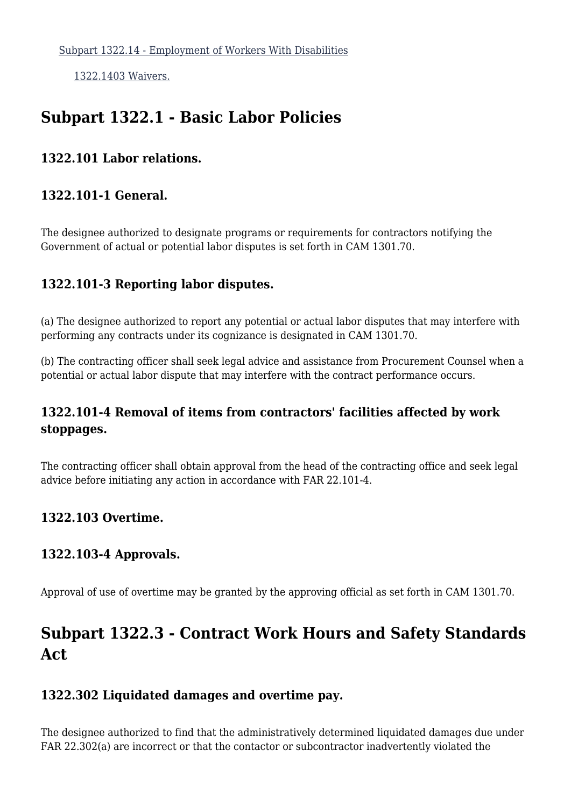[1322.1403 Waivers.](https://login.acquisition.gov/%5Brp:link:car-part-1322%5D#Section_1322_1403_T48_5064620811)

# **Subpart 1322.1 - Basic Labor Policies**

#### **1322.101 Labor relations.**

#### **1322.101-1 General.**

The designee authorized to designate programs or requirements for contractors notifying the Government of actual or potential labor disputes is set forth in CAM 1301.70.

### **1322.101-3 Reporting labor disputes.**

(a) The designee authorized to report any potential or actual labor disputes that may interfere with performing any contracts under its cognizance is designated in CAM 1301.70.

(b) The contracting officer shall seek legal advice and assistance from Procurement Counsel when a potential or actual labor dispute that may interfere with the contract performance occurs.

# **1322.101-4 Removal of items from contractors' facilities affected by work stoppages.**

The contracting officer shall obtain approval from the head of the contracting office and seek legal advice before initiating any action in accordance with FAR 22.101-4.

### **1322.103 Overtime.**

### **1322.103-4 Approvals.**

Approval of use of overtime may be granted by the approving official as set forth in CAM 1301.70.

# **Subpart 1322.3 - Contract Work Hours and Safety Standards Act**

### **1322.302 Liquidated damages and overtime pay.**

The designee authorized to find that the administratively determined liquidated damages due under FAR 22.302(a) are incorrect or that the contactor or subcontractor inadvertently violated the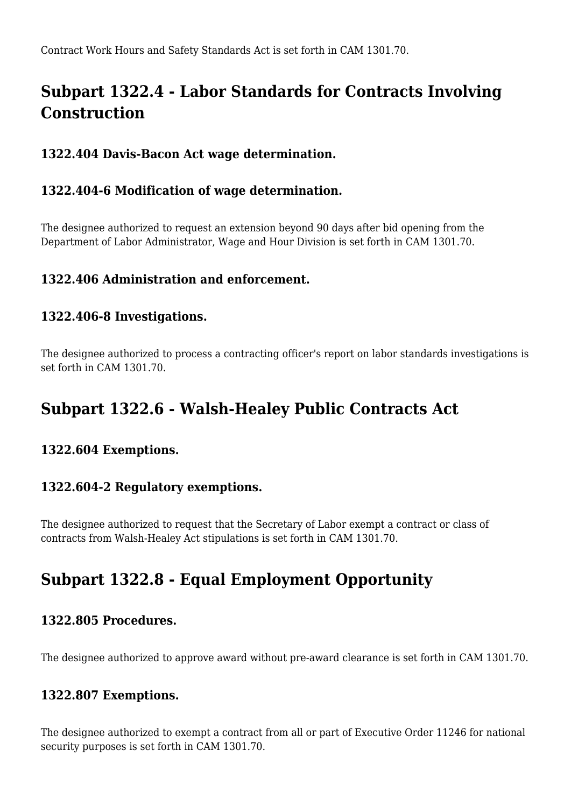# **Subpart 1322.4 - Labor Standards for Contracts Involving Construction**

## **1322.404 Davis-Bacon Act wage determination.**

### **1322.404-6 Modification of wage determination.**

The designee authorized to request an extension beyond 90 days after bid opening from the Department of Labor Administrator, Wage and Hour Division is set forth in CAM 1301.70.

### **1322.406 Administration and enforcement.**

#### **1322.406-8 Investigations.**

The designee authorized to process a contracting officer's report on labor standards investigations is set forth in CAM 1301.70.

# **Subpart 1322.6 - Walsh-Healey Public Contracts Act**

#### **1322.604 Exemptions.**

#### **1322.604-2 Regulatory exemptions.**

The designee authorized to request that the Secretary of Labor exempt a contract or class of contracts from Walsh-Healey Act stipulations is set forth in CAM 1301.70.

# **Subpart 1322.8 - Equal Employment Opportunity**

#### **1322.805 Procedures.**

The designee authorized to approve award without pre-award clearance is set forth in CAM 1301.70.

#### **1322.807 Exemptions.**

The designee authorized to exempt a contract from all or part of Executive Order 11246 for national security purposes is set forth in CAM 1301.70.